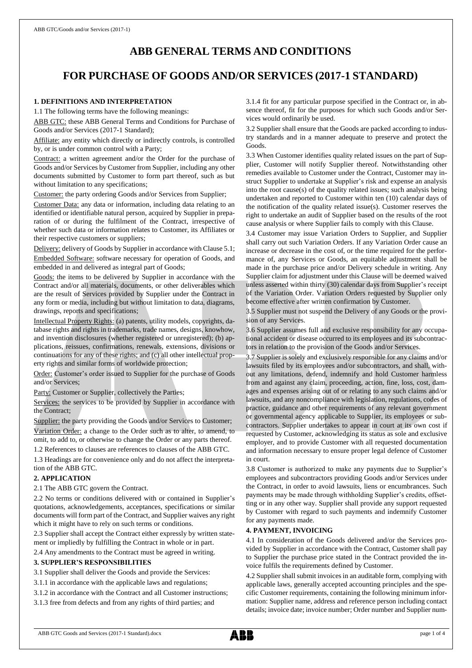# **ABB GENERAL TERMS AND CONDITIONS**

# **FOR PURCHASE OF GOODS AND/OR SERVICES (2017-1 STANDARD)**

# **1. DEFINITIONS AND INTERPRETATION**

1.1 The following terms have the following meanings:

ABB GTC: these ABB General Terms and Conditions for Purchase of Goods and/or Services (2017-1 Standard);

Affiliate: any entity which directly or indirectly controls, is controlled by, or is under common control with a Party;

Contract: a written agreement and/or the Order for the purchase of Goods and/or Services by Customer from Supplier, including any other documents submitted by Customer to form part thereof, such as but without limitation to any specifications;

Customer: the party ordering Goods and/or Services from Supplier;

Customer Data: any data or information, including data relating to an identified or identifiable natural person, acquired by Supplier in preparation of or during the fulfilment of the Contract, irrespective of whether such data or information relates to Customer, its Affiliates or their respective customers or suppliers;

Delivery: delivery of Goods by Supplier in accordance with Clause 5.1; Embedded Software: software necessary for operation of Goods, and embedded in and delivered as integral part of Goods;

Goods: the items to be delivered by Supplier in accordance with the Contract and/or all materials, documents, or other deliverables which are the result of Services provided by Supplier under the Contract in any form or media, including but without limitation to data, diagrams, drawings, reports and specifications;

Intellectual Property Rights: (a) patents, utility models, copyrights, database rights and rights in trademarks, trade names, designs, knowhow, and invention disclosures (whether registered or unregistered); (b) applications, reissues, confirmations, renewals, extensions, divisions or continuations for any of these rights; and (c) all other intellectual property rights and similar forms of worldwide protection;

Order: Customer's order issued to Supplier for the purchase of Goods and/or Services;

Party: Customer or Supplier, collectively the Parties;

Services: the services to be provided by Supplier in accordance with the Contract;

Supplier: the party providing the Goods and/or Services to Customer; Variation Order: a change to the Order such as to alter, to amend, to omit, to add to, or otherwise to change the Order or any parts thereof.

1.2 References to clauses are references to clauses of the ABB GTC.

1.3 Headings are for convenience only and do not affect the interpretation of the ABB GTC.

#### **2. APPLICATION**

2.1 The ABB GTC govern the Contract.

2.2 No terms or conditions delivered with or contained in Supplier's quotations, acknowledgements, acceptances, specifications or similar documents will form part of the Contract, and Supplier waives any right which it might have to rely on such terms or conditions.

2.3 Supplier shall accept the Contract either expressly by written statement or impliedly by fulfilling the Contract in whole or in part.

2.4 Any amendments to the Contract must be agreed in writing.

#### **3. SUPPLIER'S RESPONSIBILITIES**

3.1 Supplier shall deliver the Goods and provide the Services:

- 3.1.1 in accordance with the applicable laws and regulations;
- 3.1.2 in accordance with the Contract and all Customer instructions;

3.1.3 free from defects and from any rights of third parties; and

3.1.4 fit for any particular purpose specified in the Contract or, in absence thereof, fit for the purposes for which such Goods and/or Services would ordinarily be used.

3.2 Supplier shall ensure that the Goods are packed according to industry standards and in a manner adequate to preserve and protect the Goods.

3.3 When Customer identifies quality related issues on the part of Supplier, Customer will notify Supplier thereof. Notwithstanding other remedies available to Customer under the Contract, Customer may instruct Supplier to undertake at Supplier's risk and expense an analysis into the root cause(s) of the quality related issues; such analysis being undertaken and reported to Customer within ten (10) calendar days of the notification of the quality related issue(s). Customer reserves the right to undertake an audit of Supplier based on the results of the root cause analysis or where Supplier fails to comply with this Clause.

3.4 Customer may issue Variation Orders to Supplier, and Supplier shall carry out such Variation Orders. If any Variation Order cause an increase or decrease in the cost of, or the time required for the performance of, any Services or Goods, an equitable adjustment shall be made in the purchase price and/or Delivery schedule in writing. Any Supplier claim for adjustment under this Clause will be deemed waived unless asserted within thirty (30) calendar days from Supplier's receipt of the Variation Order. Variation Orders requested by Supplier only become effective after written confirmation by Customer.

3.5 Supplier must not suspend the Delivery of any Goods or the provision of any Services.

3.6 Supplier assumes full and exclusive responsibility for any occupational accident or disease occurred to its employees and its subcontractors in relation to the provision of the Goods and/or Services.

3.7 Supplier is solely and exclusively responsible for any claims and/or lawsuits filed by its employees and/or subcontractors, and shall, without any limitations, defend, indemnify and hold Customer harmless from and against any claim, proceeding, action, fine, loss, cost, damages and expenses arising out of or relating to any such claims and/or lawsuits, and any noncompliance with legislation, regulations, codes of practice, guidance and other requirements of any relevant government or governmental agency applicable to Supplier, its employees or subcontractors. Supplier undertakes to appear in court at its own cost if requested by Customer, acknowledging its status as sole and exclusive employer, and to provide Customer with all requested documentation and information necessary to ensure proper legal defence of Customer in court.

3.8 Customer is authorized to make any payments due to Supplier's employees and subcontractors providing Goods and/or Services under the Contract, in order to avoid lawsuits, liens or encumbrances. Such payments may be made through withholding Supplier's credits, offsetting or in any other way. Supplier shall provide any support requested by Customer with regard to such payments and indemnify Customer for any payments made.

## **4. PAYMENT, INVOICING**

4.1 In consideration of the Goods delivered and/or the Services provided by Supplier in accordance with the Contract, Customer shall pay to Supplier the purchase price stated in the Contract provided the invoice fulfils the requirements defined by Customer.

4.2 Supplier shall submit invoices in an auditable form, complying with applicable laws, generally accepted accounting principles and the specific Customer requirements, containing the following minimum information: Supplier name, address and reference person including contact details; invoice date; invoice number; Order number and Supplier num-

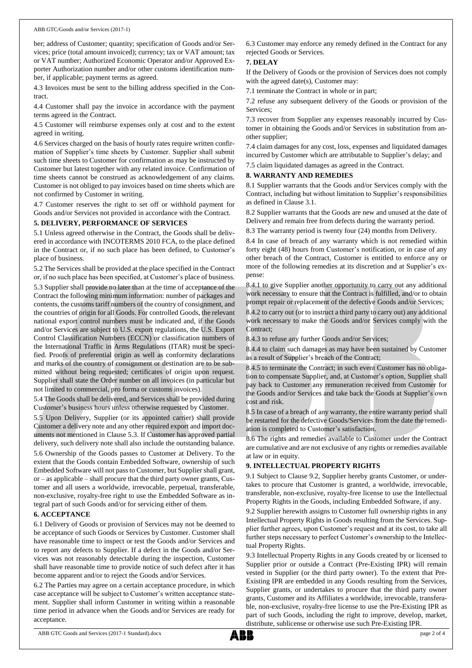ber; address of Customer; quantity; specification of Goods and/or Services; price (total amount invoiced); currency; tax or VAT amount; tax or VAT number; Authorized Economic Operator and/or Approved Exporter Authorization number and/or other customs identification number, if applicable; payment terms as agreed.

4.3 Invoices must be sent to the billing address specified in the Contract.

4.4 Customer shall pay the invoice in accordance with the payment terms agreed in the Contract.

4.5 Customer will reimburse expenses only at cost and to the extent agreed in writing.

4.6 Services charged on the basis of hourly rates require written confirmation of Supplier's time sheets by Customer. Supplier shall submit such time sheets to Customer for confirmation as may be instructed by Customer but latest together with any related invoice. Confirmation of time sheets cannot be construed as acknowledgement of any claims. Customer is not obliged to pay invoices based on time sheets which are not confirmed by Customer in writing.

4.7 Customer reserves the right to set off or withhold payment for Goods and/or Services not provided in accordance with the Contract.

#### **5. DELIVERY, PERFORMANCE OF SERVICES**

5.1 Unless agreed otherwise in the Contract, the Goods shall be delivered in accordance with INCOTERMS 2010 FCA, to the place defined in the Contract or, if no such place has been defined, to Customer's place of business.

5.2 The Services shall be provided at the place specified in the Contract or, if no such place has been specified, at Customer's place of business.

5.3 Supplier shall provide no later than at the time of acceptance of the Contract the following minimum information: number of packages and contents, the customs tariff numbers of the country of consignment, and the countries of origin for all Goods. For controlled Goods, the relevant national export control numbers must be indicated and, if the Goods and/or Services are subject to U.S. export regulations, the U.S. Export Control Classification Numbers (ECCN) or classification numbers of the International Traffic in Arms Regulations (ITAR) must be specified. Proofs of preferential origin as well as conformity declarations and marks of the country of consignment or destination are to be submitted without being requested; certificates of origin upon request. Supplier shall state the Order number on all invoices (in particular but not limited to commercial, pro forma or customs invoices).

5.4 The Goods shall be delivered, and Services shall be provided during Customer's business hours unless otherwise requested by Customer.

5.5 Upon Delivery, Supplier (or its appointed carrier) shall provide Customer a delivery note and any other required export and import documents not mentioned in Clause 5.3. If Customer has approved partial delivery, such delivery note shall also include the outstanding balance.

5.6 Ownership of the Goods passes to Customer at Delivery. To the extent that the Goods contain Embedded Software, ownership of such Embedded Software will not passto Customer, but Supplier shall grant, or – as applicable – shall procure that the third party owner grants, Customer and all users a worldwide, irrevocable, perpetual, transferable, non-exclusive, royalty-free right to use the Embedded Software as integral part of such Goods and/or for servicing either of them.

#### **6. ACCEPTANCE**

6.1 Delivery of Goods or provision of Services may not be deemed to be acceptance of such Goods or Services by Customer. Customer shall have reasonable time to inspect or test the Goods and/or Services and to report any defects to Supplier. If a defect in the Goods and/or Services was not reasonably detectable during the inspection, Customer shall have reasonable time to provide notice of such defect after it has become apparent and/or to reject the Goods and/or Services.

6.2 The Parties may agree on a certain acceptance procedure, in which case acceptance will be subject to Customer's written acceptance statement. Supplier shall inform Customer in writing within a reasonable time period in advance when the Goods and/or Services are ready for acceptance.

6.3 Customer may enforce any remedy defined in the Contract for any rejected Goods or Services.

#### **7. DELAY**

If the Delivery of Goods or the provision of Services does not comply with the agreed date(s), Customer may:

7.1 terminate the Contract in whole or in part;

7.2 refuse any subsequent delivery of the Goods or provision of the Services;

7.3 recover from Supplier any expenses reasonably incurred by Customer in obtaining the Goods and/or Services in substitution from another supplier;

7.4 claim damages for any cost, loss, expenses and liquidated damages incurred by Customer which are attributable to Supplier's delay; and

7.5 claim liquidated damages as agreed in the Contract.

#### **8. WARRANTY AND REMEDIES**

8.1 Supplier warrants that the Goods and/or Services comply with the Contract, including but without limitation to Supplier's responsibilities as defined in Clause 3.1.

8.2 Supplier warrants that the Goods are new and unused at the date of Delivery and remain free from defects during the warranty period.

8.3 The warranty period is twenty four (24) months from Delivery.

8.4 In case of breach of any warranty which is not remedied within forty eight (48) hours from Customer's notification, or in case of any other breach of the Contract, Customer is entitled to enforce any or more of the following remedies at its discretion and at Supplier's expense:

8.4.1 to give Supplier another opportunity to carry out any additional work necessary to ensure that the Contract is fulfilled, and/or to obtain prompt repair or replacement of the defective Goods and/or Services;

8.4.2 to carry out (or to instruct a third party to carry out) any additional work necessary to make the Goods and/or Services comply with the Contract;

8.4.3 to refuse any further Goods and/or Services;

8.4.4 to claim such damages as may have been sustained by Customer as a result of Supplier's breach of the Contract;

8.4.5 to terminate the Contract; in such event Customer has no obligation to compensate Supplier, and, at Customer's option, Supplier shall pay back to Customer any remuneration received from Customer for the Goods and/or Services and take back the Goods at Supplier's own cost and risk.

8.5 In case of a breach of any warranty, the entire warranty period shall be restarted for the defective Goods/Services from the date the remediation is completed to Customer's satisfaction.

8.6 The rights and remedies available to Customer under the Contract are cumulative and are not exclusive of any rights or remedies available at law or in equity.

#### **9. INTELLECTUAL PROPERTY RIGHTS**

9.1 Subject to Clause 9.2, Supplier hereby grants Customer, or undertakes to procure that Customer is granted, a worldwide, irrevocable, transferable, non-exclusive, royalty-free license to use the Intellectual Property Rights in the Goods, including Embedded Software, if any.

9.2 Supplier herewith assigns to Customer full ownership rights in any Intellectual Property Rights in Goods resulting from the Services. Supplier further agrees, upon Customer's request and at its cost, to take all further steps necessary to perfect Customer's ownership to the Intellectual Property Rights.

9.3 Intellectual Property Rights in any Goods created by or licensed to Supplier prior or outside a Contract (Pre-Existing IPR) will remain vested in Supplier (or the third party owner). To the extent that Pre-Existing IPR are embedded in any Goods resulting from the Services, Supplier grants, or undertakes to procure that the third party owner grants, Customer and its Affiliates a worldwide, irrevocable, transferable, non-exclusive, royalty-free license to use the Pre-Existing IPR as part of such Goods, including the right to improve, develop, market, distribute, sublicense or otherwise use such Pre-Existing IPR.

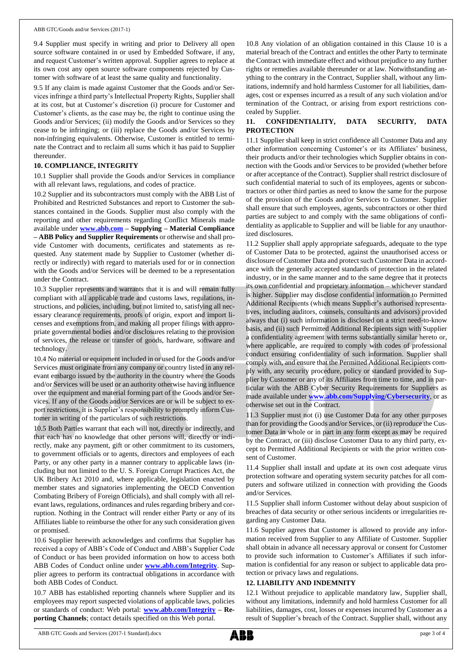9.4 Supplier must specify in writing and prior to Delivery all open source software contained in or used by Embedded Software, if any, and request Customer's written approval. Supplier agrees to replace at its own cost any open source software components rejected by Customer with software of at least the same quality and functionality.

9.5 If any claim is made against Customer that the Goods and/or Services infringe a third party's Intellectual Property Rights, Supplier shall at its cost, but at Customer's discretion (i) procure for Customer and Customer's clients, as the case may be, the right to continue using the Goods and/or Services; (ii) modify the Goods and/or Services so they cease to be infringing; or (iii) replace the Goods and/or Services by non-infringing equivalents. Otherwise, Customer is entitled to terminate the Contract and to reclaim all sums which it has paid to Supplier thereunder.

#### **10. COMPLIANCE, INTEGRITY**

10.1 Supplier shall provide the Goods and/or Services in compliance with all relevant laws, regulations, and codes of practice.

10.2 Supplier and its subcontractors must comply with the ABB List of Prohibited and Restricted Substances and report to Customer the substances contained in the Goods. Supplier must also comply with the reporting and other requirements regarding Conflict Minerals made available under **[www.abb.com](http://www.abb.com/) – Supplying – Material Compliance – ABB Policy and Supplier Requirements** or otherwise and shall provide Customer with documents, certificates and statements as requested. Any statement made by Supplier to Customer (whether directly or indirectly) with regard to materials used for or in connection with the Goods and/or Services will be deemed to be a representation under the Contract.

10.3 Supplier represents and warrants that it is and will remain fully compliant with all applicable trade and customs laws, regulations, instructions, and policies, including, but not limited to, satisfying all necessary clearance requirements, proofs of origin, export and import licenses and exemptions from, and making all proper filings with appropriate governmental bodies and/or disclosures relating to the provision of services, the release or transfer of goods, hardware, software and technology.

10.4 No material or equipment included in or used for the Goods and/or Services must originate from any company or country listed in any relevant embargo issued by the authority in the country where the Goods and/or Services will be used or an authority otherwise having influence over the equipment and material forming part of the Goods and/or Services. If any of the Goods and/or Services are or will be subject to export restrictions, it is Supplier's responsibility to promptly inform Customer in writing of the particulars of such restrictions.

10.5 Both Parties warrant that each will not, directly or indirectly, and that each has no knowledge that other persons will, directly or indirectly, make any payment, gift or other commitment to its customers, to government officials or to agents, directors and employees of each Party, or any other party in a manner contrary to applicable laws (including but not limited to the U. S. Foreign Corrupt Practices Act, the UK Bribery Act 2010 and, where applicable, legislation enacted by member states and signatories implementing the OECD Convention Combating Bribery of Foreign Officials), and shall comply with all relevant laws, regulations, ordinances and rules regarding bribery and corruption. Nothing in the Contract will render either Party or any of its Affiliates liable to reimburse the other for any such consideration given or promised.

10.6 Supplier herewith acknowledges and confirms that Supplier has received a copy of ABB's Code of Conduct and ABB's Supplier Code of Conduct or has been provided information on how to access both ABB Codes of Conduct online under **[www.abb.com/Integrity](http://www.abb.com/Integrity)**. Supplier agrees to perform its contractual obligations in accordance with both ABB Codes of Conduct.

10.7 ABB has established reporting channels where Supplier and its employees may report suspected violations of applicable laws, policies or standards of conduct: Web portal: **[www.abb.com/Integrity](http://www.abb.com/Integrity) – Reporting Channels**; contact details specified on this Web portal.

10.8 Any violation of an obligation contained in this Clause 10 is a material breach of the Contract and entitles the other Party to terminate the Contract with immediate effect and without prejudice to any further rights or remedies available thereunder or at law. Notwithstanding anything to the contrary in the Contract, Supplier shall, without any limitations, indemnify and hold harmless Customer for all liabilities, damages, cost or expenses incurred as a result of any such violation and/or termination of the Contract, or arising from export restrictions concealed by Supplier.

## **11. CONFIDENTIALITY, DATA SECURITY, DATA PROTECTION**

11.1 Supplier shall keep in strict confidence all Customer Data and any other information concerning Customer's or its Affiliates' business, their products and/or their technologies which Supplier obtains in connection with the Goods and/or Services to be provided (whether before or after acceptance of the Contract). Supplier shall restrict disclosure of such confidential material to such of its employees, agents or subcontractors or other third parties as need to know the same for the purpose of the provision of the Goods and/or Services to Customer. Supplier shall ensure that such employees, agents, subcontractors or other third parties are subject to and comply with the same obligations of confidentiality as applicable to Supplier and will be liable for any unauthorized disclosures.

11.2 Supplier shall apply appropriate safeguards, adequate to the type of Customer Data to be protected, against the unauthorised access or disclosure of Customer Data and protect such Customer Data in accordance with the generally accepted standards of protection in the related industry, or in the same manner and to the same degree that it protects its own confidential and proprietary information – whichever standard is higher. Supplier may disclose confidential information to Permitted Additional Recipients (which means Supplier's authorised representatives, including auditors, counsels, consultants and advisors) provided always that (i) such information is disclosed on a strict need-to-know basis, and (ii) such Permitted Additional Recipients sign with Supplier a confidentiality agreement with terms substantially similar hereto or, where applicable, are required to comply with codes of professional conduct ensuring confidentiality of such information. Supplier shall comply with, and ensure that the Permitted Additional Recipients comply with, any security procedure, policy or standard provided to Supplier by Customer or any of its Affiliates from time to time, and in particular with the ABB Cyber Security Requirements for Suppliers as made available under **[www.abb.com/Supplying/Cybersecurity](http://www.abb.com/Supplying/Cybersecurity)**, or as otherwise set out in the Contract.

11.3 Supplier must not (i) use Customer Data for any other purposes than for providing the Goods and/or Services, or (ii) reproduce the Customer Data in whole or in part in any form except as may be required by the Contract, or (iii) disclose Customer Data to any third party, except to Permitted Additional Recipients or with the prior written consent of Customer.

11.4 Supplier shall install and update at its own cost adequate virus protection software and operating system security patches for all computers and software utilized in connection with providing the Goods and/or Services.

11.5 Supplier shall inform Customer without delay about suspicion of breaches of data security or other serious incidents or irregularities regarding any Customer Data.

11.6 Supplier agrees that Customer is allowed to provide any information received from Supplier to any Affiliate of Customer. Supplier shall obtain in advance all necessary approval or consent for Customer to provide such information to Customer's Affiliates if such information is confidential for any reason or subject to applicable data protection or privacy laws and regulations.

#### **12. LIABILITY AND INDEMNITY**

12.1 Without prejudice to applicable mandatory law, Supplier shall, without any limitations, indemnify and hold harmless Customer for all liabilities, damages, cost, losses or expenses incurred by Customer as a result of Supplier's breach of the Contract. Supplier shall, without any